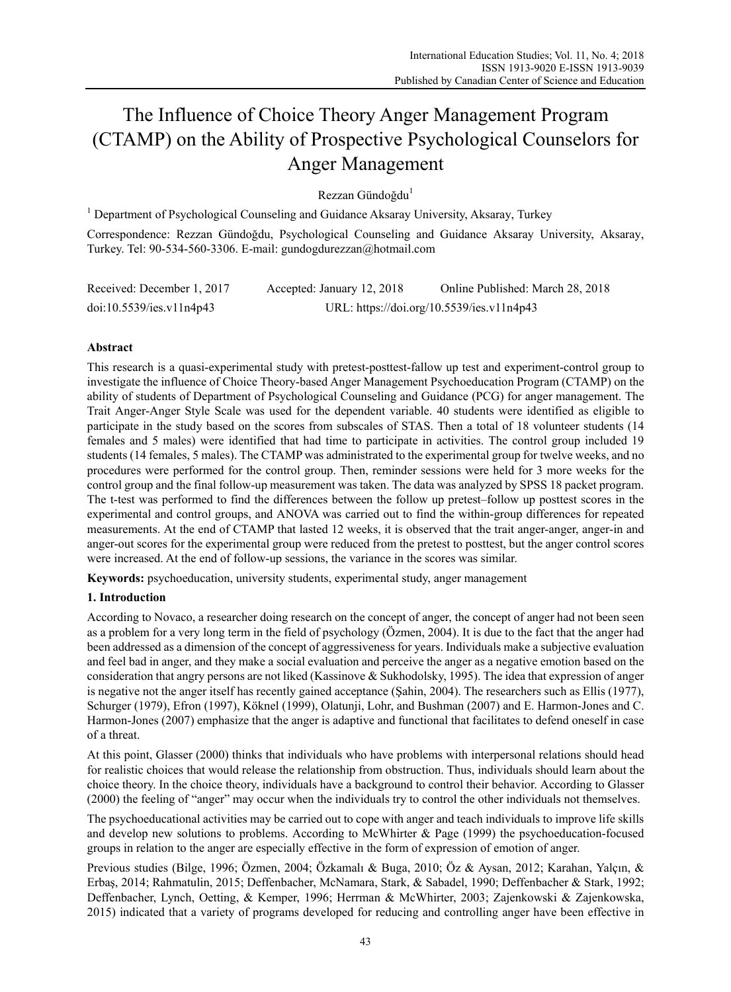# The Influence of Choice Theory Anger Management Program (CTAMP) on the Ability of Prospective Psychological Counselors for Anger Management

Rezzan Gündoğdu<sup>1</sup>

<sup>1</sup> Department of Psychological Counseling and Guidance Aksaray University, Aksaray, Turkey

Correspondence: Rezzan Gündoğdu, Psychological Counseling and Guidance Aksaray University, Aksaray, Turkey. Tel: 90-534-560-3306. E-mail: gundogdurezzan@hotmail.com

| Received: December 1, 2017 | Accepted: January 12, 2018 | Online Published: March 28, 2018          |
|----------------------------|----------------------------|-------------------------------------------|
| doi:10.5539/ies.v11n4p43   |                            | URL: https://doi.org/10.5539/ies.v11n4p43 |

## **Abstract**

This research is a quasi-experimental study with pretest-posttest-fallow up test and experiment-control group to investigate the influence of Choice Theory-based Anger Management Psychoeducation Program (CTAMP) on the ability of students of Department of Psychological Counseling and Guidance (PCG) for anger management. The Trait Anger-Anger Style Scale was used for the dependent variable. 40 students were identified as eligible to participate in the study based on the scores from subscales of STAS. Then a total of 18 volunteer students (14 females and 5 males) were identified that had time to participate in activities. The control group included 19 students (14 females, 5 males). The CTAMP was administrated to the experimental group for twelve weeks, and no procedures were performed for the control group. Then, reminder sessions were held for 3 more weeks for the control group and the final follow-up measurement was taken. The data was analyzed by SPSS 18 packet program. The t-test was performed to find the differences between the follow up pretest–follow up posttest scores in the experimental and control groups, and ANOVA was carried out to find the within-group differences for repeated measurements. At the end of CTAMP that lasted 12 weeks, it is observed that the trait anger-anger, anger-in and anger-out scores for the experimental group were reduced from the pretest to posttest, but the anger control scores were increased. At the end of follow-up sessions, the variance in the scores was similar.

**Keywords:** psychoeducation, university students, experimental study, anger management

## **1. Introduction**

According to Novaco, a researcher doing research on the concept of anger, the concept of anger had not been seen as a problem for a very long term in the field of psychology (Özmen, 2004). It is due to the fact that the anger had been addressed as a dimension of the concept of aggressiveness for years. Individuals make a subjective evaluation and feel bad in anger, and they make a social evaluation and perceive the anger as a negative emotion based on the consideration that angry persons are not liked (Kassinove & Sukhodolsky, 1995). The idea that expression of anger is negative not the anger itself has recently gained acceptance (Şahin, 2004). The researchers such as Ellis (1977), Schurger (1979), Efron (1997), Köknel (1999), Olatunji, Lohr, and Bushman (2007) and E. Harmon-Jones and C. Harmon-Jones (2007) emphasize that the anger is adaptive and functional that facilitates to defend oneself in case of a threat.

At this point, Glasser (2000) thinks that individuals who have problems with interpersonal relations should head for realistic choices that would release the relationship from obstruction. Thus, individuals should learn about the choice theory. In the choice theory, individuals have a background to control their behavior. According to Glasser (2000) the feeling of "anger" may occur when the individuals try to control the other individuals not themselves.

The psychoeducational activities may be carried out to cope with anger and teach individuals to improve life skills and develop new solutions to problems. According to McWhirter  $\&$  Page (1999) the psychoeducation-focused groups in relation to the anger are especially effective in the form of expression of emotion of anger.

Previous studies (Bilge, 1996; Özmen, 2004; Özkamalı & Buga, 2010; Öz & Aysan, 2012; Karahan, Yalçın, & Erbaş, 2014; Rahmatulin, 2015; Deffenbacher, McNamara, Stark, & Sabadel, 1990; Deffenbacher & Stark, 1992; Deffenbacher, Lynch, Oetting, & Kemper, 1996; Herrman & McWhirter, 2003; Zajenkowski & Zajenkowska, 2015) indicated that a variety of programs developed for reducing and controlling anger have been effective in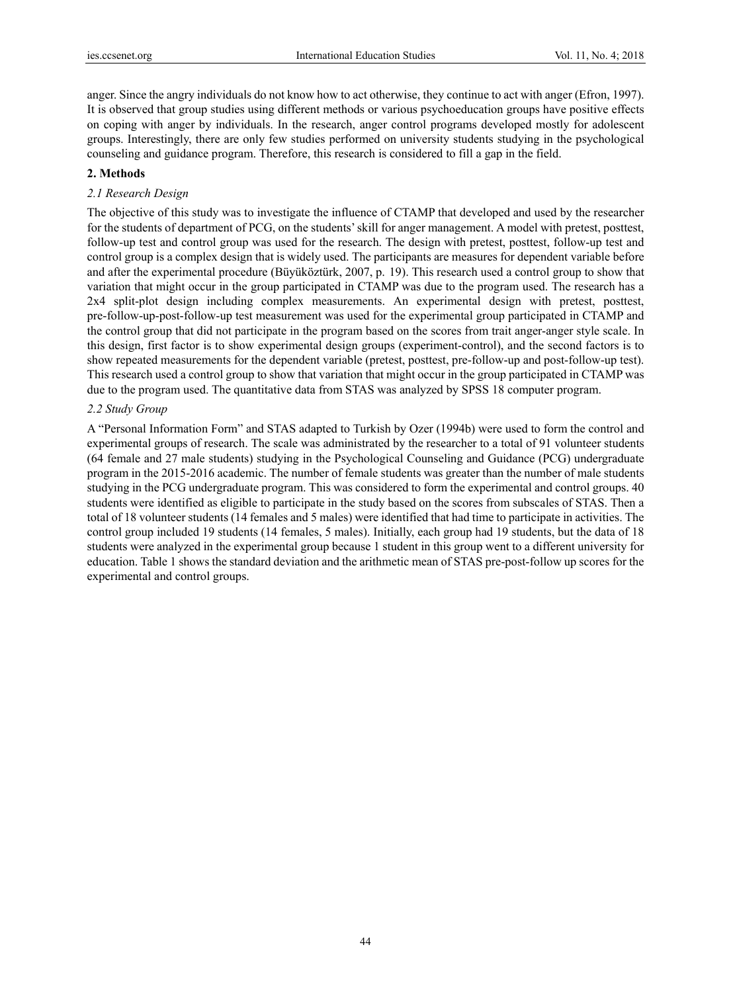anger. Since the angry individuals do not know how to act otherwise, they continue to act with anger (Efron, 1997). It is observed that group studies using different methods or various psychoeducation groups have positive effects on coping with anger by individuals. In the research, anger control programs developed mostly for adolescent groups. Interestingly, there are only few studies performed on university students studying in the psychological counseling and guidance program. Therefore, this research is considered to fill a gap in the field.

#### **2. Methods**

## *2.1 Research Design*

The objective of this study was to investigate the influence of CTAMP that developed and used by the researcher for the students of department of PCG, on the students' skill for anger management. A model with pretest, posttest, follow-up test and control group was used for the research. The design with pretest, posttest, follow-up test and control group is a complex design that is widely used. The participants are measures for dependent variable before and after the experimental procedure (Büyüköztürk, 2007, p. 19). This research used a control group to show that variation that might occur in the group participated in CTAMP was due to the program used. The research has a 2x4 split-plot design including complex measurements. An experimental design with pretest, posttest, pre-follow-up-post-follow-up test measurement was used for the experimental group participated in CTAMP and the control group that did not participate in the program based on the scores from trait anger-anger style scale. In this design, first factor is to show experimental design groups (experiment-control), and the second factors is to show repeated measurements for the dependent variable (pretest, posttest, pre-follow-up and post-follow-up test). This research used a control group to show that variation that might occur in the group participated in CTAMP was due to the program used. The quantitative data from STAS was analyzed by SPSS 18 computer program.

#### *2.2 Study Group*

A "Personal Information Form" and STAS adapted to Turkish by Ozer (1994b) were used to form the control and experimental groups of research. The scale was administrated by the researcher to a total of 91 volunteer students (64 female and 27 male students) studying in the Psychological Counseling and Guidance (PCG) undergraduate program in the 2015-2016 academic. The number of female students was greater than the number of male students studying in the PCG undergraduate program. This was considered to form the experimental and control groups. 40 students were identified as eligible to participate in the study based on the scores from subscales of STAS. Then a total of 18 volunteer students (14 females and 5 males) were identified that had time to participate in activities. The control group included 19 students (14 females, 5 males). Initially, each group had 19 students, but the data of 18 students were analyzed in the experimental group because 1 student in this group went to a different university for education. Table 1 shows the standard deviation and the arithmetic mean of STAS pre-post-follow up scores for the experimental and control groups.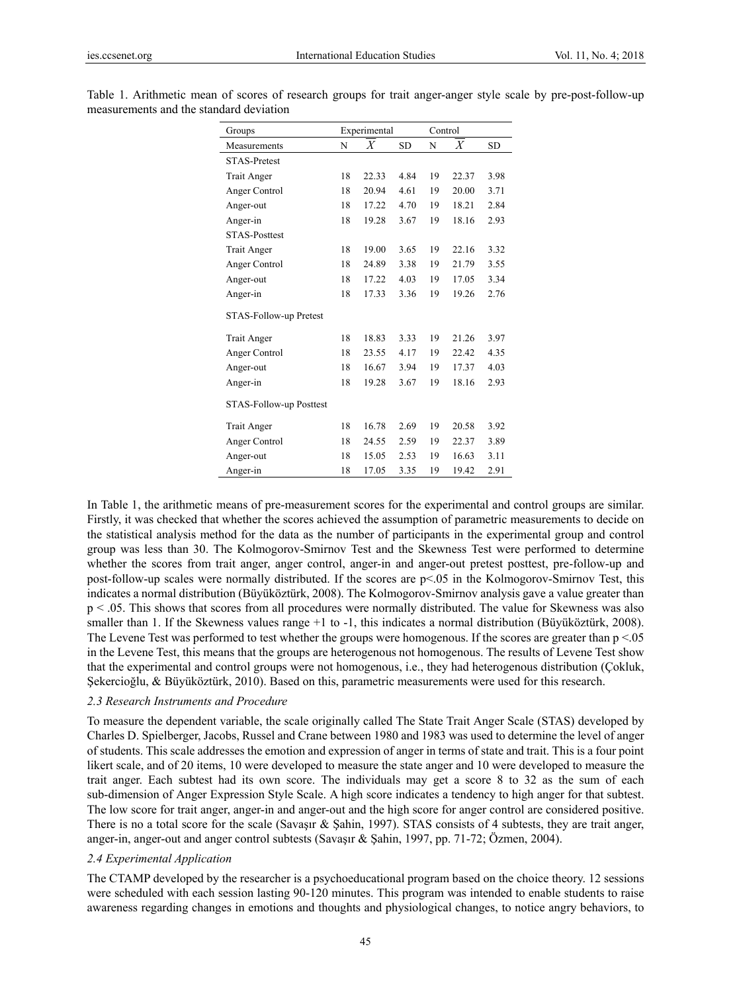| Groups                  |    | Experimental |           | Control |       |           |
|-------------------------|----|--------------|-----------|---------|-------|-----------|
| Measurements            | N  | X            | <b>SD</b> | N       | X     | <b>SD</b> |
| <b>STAS-Pretest</b>     |    |              |           |         |       |           |
| Trait Anger             | 18 | 22.33        | 4.84      | 19      | 22.37 | 3.98      |
| Anger Control           | 18 | 20.94        | 4.61      | 19      | 20.00 | 3.71      |
| Anger-out               | 18 | 17.22        | 4.70      | 19      | 18.21 | 2.84      |
| Anger-in                | 18 | 19.28        | 3.67      | 19      | 18.16 | 2.93      |
| <b>STAS-Posttest</b>    |    |              |           |         |       |           |
| <b>Trait Anger</b>      | 18 | 19.00        | 3.65      | 19      | 22.16 | 3.32      |
| Anger Control           | 18 | 24.89        | 3.38      | 19      | 21.79 | 3.55      |
| Anger-out               | 18 | 17.22        | 4.03      | 19      | 17.05 | 3.34      |
| Anger-in                | 18 | 17.33        | 3.36      | 19      | 19.26 | 2.76      |
| STAS-Follow-up Pretest  |    |              |           |         |       |           |
| Trait Anger             | 18 | 18.83        | 3.33      | 19      | 21.26 | 3.97      |
| Anger Control           | 18 | 23.55        | 4.17      | 19      | 22.42 | 4.35      |
| Anger-out               | 18 | 16.67        | 3.94      | 19      | 17.37 | 4.03      |
| Anger-in                | 18 | 19.28        | 3.67      | 19      | 18.16 | 2.93      |
| STAS-Follow-up Posttest |    |              |           |         |       |           |
| Trait Anger             | 18 | 16.78        | 2.69      | 19      | 20.58 | 3.92      |
| Anger Control           | 18 | 24.55        | 2.59      | 19      | 22.37 | 3.89      |
| Anger-out               | 18 | 15.05        | 2.53      | 19      | 16.63 | 3.11      |
| Anger-in                | 18 | 17.05        | 3.35      | 19      | 19.42 | 2.91      |

Table 1. Arithmetic mean of scores of research groups for trait anger-anger style scale by pre-post-follow-up measurements and the standard deviation

In Table 1, the arithmetic means of pre-measurement scores for the experimental and control groups are similar. Firstly, it was checked that whether the scores achieved the assumption of parametric measurements to decide on the statistical analysis method for the data as the number of participants in the experimental group and control group was less than 30. The Kolmogorov-Smirnov Test and the Skewness Test were performed to determine whether the scores from trait anger, anger control, anger-in and anger-out pretest posttest, pre-follow-up and post-follow-up scales were normally distributed. If the scores are p<.05 in the Kolmogorov-Smirnov Test, this indicates a normal distribution (Büyüköztürk, 2008). The Kolmogorov-Smirnov analysis gave a value greater than p < .05. This shows that scores from all procedures were normally distributed. The value for Skewness was also smaller than 1. If the Skewness values range +1 to -1, this indicates a normal distribution (Büyüköztürk, 2008). The Levene Test was performed to test whether the groups were homogenous. If the scores are greater than  $p < 0.05$ in the Levene Test, this means that the groups are heterogenous not homogenous. The results of Levene Test show that the experimental and control groups were not homogenous, i.e., they had heterogenous distribution (Çokluk, Şekercioğlu, & Büyüköztürk, 2010). Based on this, parametric measurements were used for this research.

#### *2.3 Research Instruments and Procedure*

To measure the dependent variable, the scale originally called The State Trait Anger Scale (STAS) developed by Charles D. Spielberger, Jacobs, Russel and Crane between 1980 and 1983 was used to determine the level of anger of students. This scale addresses the emotion and expression of anger in terms of state and trait. This is a four point likert scale, and of 20 items, 10 were developed to measure the state anger and 10 were developed to measure the trait anger. Each subtest had its own score. The individuals may get a score 8 to 32 as the sum of each sub-dimension of Anger Expression Style Scale. A high score indicates a tendency to high anger for that subtest. The low score for trait anger, anger-in and anger-out and the high score for anger control are considered positive. There is no a total score for the scale (Savaşır & Şahin, 1997). STAS consists of 4 subtests, they are trait anger, anger-in, anger-out and anger control subtests (Savaşır & Şahin, 1997, pp. 71-72; Özmen, 2004).

#### *2.4 Experimental Application*

The CTAMP developed by the researcher is a psychoeducational program based on the choice theory. 12 sessions were scheduled with each session lasting 90-120 minutes. This program was intended to enable students to raise awareness regarding changes in emotions and thoughts and physiological changes, to notice angry behaviors, to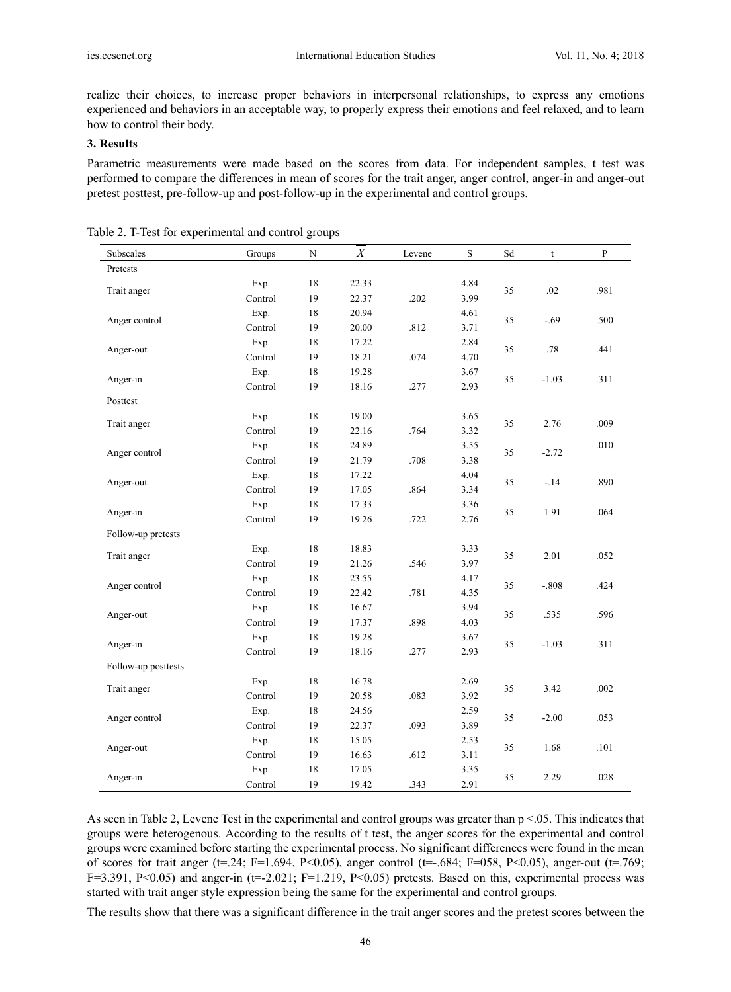realize their choices, to increase proper behaviors in interpersonal relationships, to express any emotions experienced and behaviors in an acceptable way, to properly express their emotions and feel relaxed, and to learn how to control their body.

## **3. Results**

Parametric measurements were made based on the scores from data. For independent samples, t test was performed to compare the differences in mean of scores for the trait anger, anger control, anger-in and anger-out pretest posttest, pre-follow-up and post-follow-up in the experimental and control groups.

| Subscales           | Groups  | $\mathbf N$ | X     | Levene | $\mathbf S$ | Sd | $\ensuremath{\mathbf{t}}$ | $\, {\bf p}$ |
|---------------------|---------|-------------|-------|--------|-------------|----|---------------------------|--------------|
| Pretests            |         |             |       |        |             |    |                           |              |
|                     | Exp.    | 18          | 22.33 |        | 4.84        | 35 | $.02\,$                   | .981         |
| Trait anger         | Control | 19          | 22.37 | .202   | 3.99        |    |                           |              |
| Anger control       | Exp.    | 18          | 20.94 |        | 4.61        | 35 | $-.69$                    | .500         |
|                     | Control | 19          | 20.00 | .812   | 3.71        |    |                           |              |
|                     | Exp.    | 18          | 17.22 |        | 2.84        | 35 | .78                       | .441         |
| Anger-out           | Control | 19          | 18.21 | .074   | 4.70        |    |                           |              |
|                     | Exp.    | 18          | 19.28 |        | 3.67        | 35 | $-1.03$                   | .311         |
| Anger-in            | Control | 19          | 18.16 | .277   | 2.93        |    |                           |              |
| Posttest            |         |             |       |        |             |    |                           |              |
| Trait anger         | Exp.    | 18          | 19.00 |        | 3.65        | 35 | 2.76                      | .009         |
|                     | Control | 19          | 22.16 | .764   | 3.32        |    |                           |              |
| Anger control       | Exp.    | 18          | 24.89 |        | 3.55        | 35 | $-2.72$                   | .010         |
|                     | Control | 19          | 21.79 | .708   | 3.38        |    |                           |              |
| Anger-out           | Exp.    | 18          | 17.22 |        | 4.04        | 35 | $-.14$                    | .890         |
|                     | Control | 19          | 17.05 | .864   | 3.34        |    |                           |              |
|                     | Exp.    | 18          | 17.33 |        | 3.36        | 35 | 1.91                      | .064         |
| Anger-in            | Control | 19          | 19.26 | .722   | 2.76        |    |                           |              |
| Follow-up pretests  |         |             |       |        |             |    |                           |              |
| Trait anger         | Exp.    | 18          | 18.83 |        | 3.33        | 35 | 2.01                      | .052         |
|                     | Control | 19          | 21.26 | .546   | 3.97        |    |                           |              |
| Anger control       | Exp.    | 18          | 23.55 |        | 4.17        | 35 | $-.808$                   | .424         |
|                     | Control | 19          | 22.42 | .781   | 4.35        |    |                           |              |
| Anger-out           | Exp.    | 18          | 16.67 |        | 3.94        | 35 | .535                      | .596         |
|                     | Control | 19          | 17.37 | .898   | 4.03        |    |                           |              |
| Anger-in            | Exp.    | 18          | 19.28 |        | 3.67        | 35 | $-1.03$                   | .311         |
|                     | Control | 19          | 18.16 | .277   | 2.93        |    |                           |              |
| Follow-up posttests |         |             |       |        |             |    |                           |              |
| Trait anger         | Exp.    | 18          | 16.78 |        | 2.69        | 35 | 3.42                      | .002         |
|                     | Control | 19          | 20.58 | .083   | 3.92        |    |                           |              |
| Anger control       | Exp.    | 18          | 24.56 |        | 2.59        | 35 | $-2.00$                   | .053         |
|                     | Control | 19          | 22.37 | .093   | 3.89        |    |                           |              |
| Anger-out           | Exp.    | 18          | 15.05 |        | 2.53        | 35 | 1.68                      |              |
|                     | Control | 19          | 16.63 | .612   | 3.11        |    |                           | $.101\,$     |
| Anger-in            | Exp.    | 18          | 17.05 |        | 3.35        |    | 2.29                      | $.028\,$     |
|                     | Control | 19          | 19.42 | .343   | 2.91        | 35 |                           |              |

|  |  | Table 2. T-Test for experimental and control groups |  |  |  |
|--|--|-----------------------------------------------------|--|--|--|
|--|--|-----------------------------------------------------|--|--|--|

As seen in Table 2, Levene Test in the experimental and control groups was greater than  $p < 0.05$ . This indicates that groups were heterogenous. According to the results of t test, the anger scores for the experimental and control groups were examined before starting the experimental process. No significant differences were found in the mean of scores for trait anger (t=.24; F=1.694, P<0.05), anger control (t=-.684; F=058, P<0.05), anger-out (t=.769; F=3.391, P<0.05) and anger-in (t=-2.021; F=1.219, P<0.05) pretests. Based on this, experimental process was started with trait anger style expression being the same for the experimental and control groups.

The results show that there was a significant difference in the trait anger scores and the pretest scores between the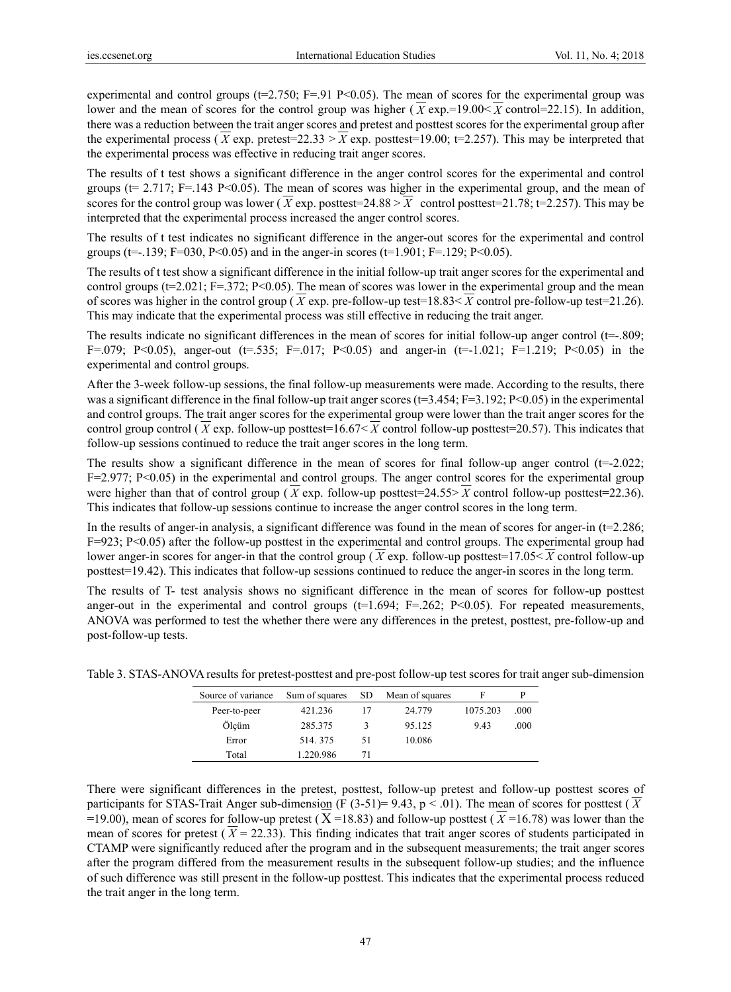experimental and control groups ( $t=2.750$ ; F=.91 P<0.05). The mean of scores for the experimental group was lower and the mean of scores for the control group was higher ( $\overline{X}$  exp.=19.00<  $\overline{X}$  control=22.15). In addition, there was a reduction between the trait anger scores and pretest and posttest scores for the experimental group after the experimental process ( $\overline{X}$  exp. pretest=22.33 >  $\overline{X}$  exp. posttest=19.00; t=2.257). This may be interpreted that the experimental process was effective in reducing trait anger scores.

The results of t test shows a significant difference in the anger control scores for the experimental and control groups ( $t= 2.717$ ; F=.143 P<0.05). The mean of scores was higher in the experimental group, and the mean of scores for the control group was lower ( $\overline{X}$  exp. posttest=24.88 >  $\overline{X}$  control posttest=21.78; t=2.257). This may be interpreted that the experimental process increased the anger control scores.

The results of t test indicates no significant difference in the anger-out scores for the experimental and control groups (t=-.139; F=030, P<0.05) and in the anger-in scores (t=1.901; F=.129; P<0.05).

The results of t test show a significant difference in the initial follow-up trait anger scores for the experimental and control groups ( $t=2.021$ ; F=.372; P<0.05). The mean of scores was lower in the experimental group and the mean of scores was higher in the control group ( $\overline{X}$  exp. pre-follow-up test=18.83<  $\overline{X}$  control pre-follow-up test=21.26). This may indicate that the experimental process was still effective in reducing the trait anger.

The results indicate no significant differences in the mean of scores for initial follow-up anger control (t=-.809; F=.079; P<0.05), anger-out (t=.535; F=.017; P<0.05) and anger-in (t=-1.021; F=1.219; P<0.05) in the experimental and control groups.

After the 3-week follow-up sessions, the final follow-up measurements were made. According to the results, there was a significant difference in the final follow-up trait anger scores ( $t=3.454$ ; F=3.192; P<0.05) in the experimental and control groups. The trait anger scores for the experimental group were lower than the trait anger scores for the control group control ( $\overline{X}$  exp. follow-up posttest=16.67<  $\overline{X}$  control follow-up posttest=20.57). This indicates that follow-up sessions continued to reduce the trait anger scores in the long term.

The results show a significant difference in the mean of scores for final follow-up anger control  $(t=-2.022)$ ;  $F=2.977$ ; P<0.05) in the experimental and control groups. The anger control scores for the experimental group were higher than that of control group ( *X* exp. follow-up posttest=24.55> *X* control follow-up posttest**=**22.36). This indicates that follow-up sessions continue to increase the anger control scores in the long term.

In the results of anger-in analysis, a significant difference was found in the mean of scores for anger-in (t=2.286; F=923; P<0.05) after the follow-up posttest in the experimental and control groups. The experimental group had lower anger-in scores for anger-in that the control group ( $\overline{X}$  exp. follow-up posttest=17.05<  $\overline{X}$  control follow-up posttest=19.42). This indicates that follow-up sessions continued to reduce the anger-in scores in the long term.

The results of T- test analysis shows no significant difference in the mean of scores for follow-up posttest anger-out in the experimental and control groups  $(t=1.694; F=.262; P<0.05)$ . For repeated measurements, ANOVA was performed to test the whether there were any differences in the pretest, posttest, pre-follow-up and post-follow-up tests.

| Source of variance | Sum of squares | - SD | Mean of squares | ь        |      |
|--------------------|----------------|------|-----------------|----------|------|
| Peer-to-peer       | 421.236        |      | 24.779          | 1075.203 | .000 |
| Ölcüm              | 285.375        | 3    | 95.125          | 943      | .000 |
| Error              | 514.375        | 51   | 10.086          |          |      |
| Total              | 1.220.986      | 71   |                 |          |      |

Table 3. STAS-ANOVA results for pretest-posttest and pre-post follow-up test scores for trait anger sub-dimension

There were significant differences in the pretest, posttest, follow-up pretest and follow-up posttest scores of participants for STAS-Trait Anger sub-dimension (F  $(3-51)= 9.43$ , p < .01). The mean of scores for posttest ( $\overline{X}$  $=$ 19.00), mean of scores for follow-up pretest ( $X = 18.83$ ) and follow-up posttest ( $\overline{X} = 16.78$ ) was lower than the mean of scores for pretest  $(\overline{X} = 22.33)$ . This finding indicates that trait anger scores of students participated in CTAMP were significantly reduced after the program and in the subsequent measurements; the trait anger scores after the program differed from the measurement results in the subsequent follow-up studies; and the influence of such difference was still present in the follow-up posttest. This indicates that the experimental process reduced the trait anger in the long term.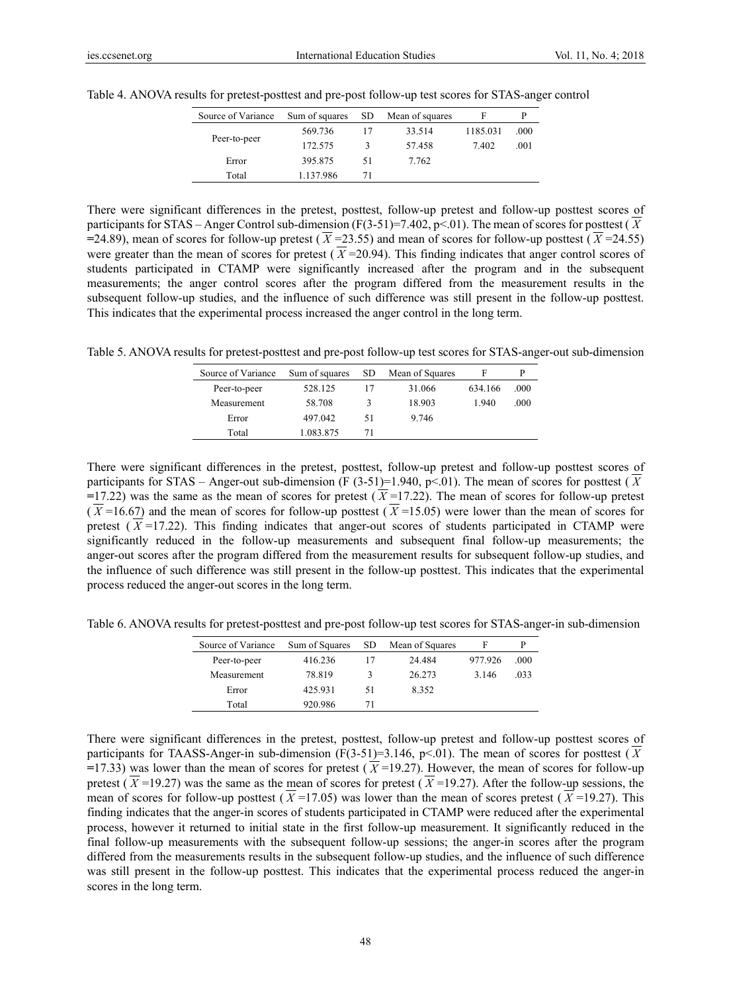| Source of Variance |           |    | Sum of squares SD Mean of squares | F        | р    |
|--------------------|-----------|----|-----------------------------------|----------|------|
|                    | 569.736   |    | 33.514                            | 1185.031 | .000 |
| Peer-to-peer       | 172.575   | ι  | 57.458                            | 7.402    | .001 |
| Error              | 395.875   | 51 | 7.762                             |          |      |
| Total              | 1.137.986 | 71 |                                   |          |      |

Table 4. ANOVA results for pretest-posttest and pre-post follow-up test scores for STAS-anger control

There were significant differences in the pretest, posttest, follow-up pretest and follow-up posttest scores of participants for STAS – Anger Control sub-dimension  $(F(3-51)=7.402, p<0.01)$ . The mean of scores for posttest ( $\overline{X}$ )  $=$ 24.89), mean of scores for follow-up pretest ( $\overline{X}$  = 23.55) and mean of scores for follow-up posttest ( $\overline{X}$  = 24.55) were greater than the mean of scores for pretest  $(\overline{X} = 20.94)$ . This finding indicates that anger control scores of students participated in CTAMP were significantly increased after the program and in the subsequent measurements; the anger control scores after the program differed from the measurement results in the subsequent follow-up studies, and the influence of such difference was still present in the follow-up posttest. This indicates that the experimental process increased the anger control in the long term.

Table 5. ANOVA results for pretest-posttest and pre-post follow-up test scores for STAS-anger-out sub-dimension

| Source of Variance | Sum of squares | SD. | Mean of Squares |         |      |
|--------------------|----------------|-----|-----------------|---------|------|
| Peer-to-peer       | 528.125        | 17  | 31.066          | 634.166 | .000 |
| Measurement        | 58.708         | ٦   | 18.903          | 1940    | .000 |
| Error              | 497.042        | 51  | 9.746           |         |      |
| Total              | 1.083.875      | 71  |                 |         |      |

There were significant differences in the pretest, posttest, follow-up pretest and follow-up posttest scores of participants for STAS – Anger-out sub-dimension (F (3-51)=1.940, p<01). The mean of scores for posttest ( $\overline{X}$  $=$ 17.22) was the same as the mean of scores for pretest ( $\overline{X}$ =17.22). The mean of scores for follow-up pretest  $(\overline{X} = 16.67)$  and the mean of scores for follow-up posttest  $(\overline{X} = 15.05)$  were lower than the mean of scores for pretest  $(\overline{X} = 17.22)$ . This finding indicates that anger-out scores of students participated in CTAMP were significantly reduced in the follow-up measurements and subsequent final follow-up measurements; the anger-out scores after the program differed from the measurement results for subsequent follow-up studies, and the influence of such difference was still present in the follow-up posttest. This indicates that the experimental process reduced the anger-out scores in the long term.

Table 6. ANOVA results for pretest-posttest and pre-post follow-up test scores for STAS-anger-in sub-dimension

| Source of Variance | Sum of Squares | SD. | Mean of Squares | F       | D    |
|--------------------|----------------|-----|-----------------|---------|------|
| Peer-to-peer       | 416.236        | 17  | 24.484          | 977.926 | .000 |
| Measurement        | 78.819         | 3   | 26.273          | 3.146   | .033 |
| Error              | 425.931        | 51  | 8.352           |         |      |
| Total              | 920.986        | 71  |                 |         |      |

There were significant differences in the pretest, posttest, follow-up pretest and follow-up posttest scores of participants for TAASS-Anger-in sub-dimension (F(3-51)=3.146, p<.01). The mean of scores for posttest ( $\overline{X}$  $=$ 17.33) was lower than the mean of scores for pretest ( $\overline{X}$  =19.27). However, the mean of scores for follow-up pretest ( $\overline{X}$ =19.27) was the same as the mean of scores for pretest ( $\overline{X}$ =19.27). After the follow-up sessions, the mean of scores for follow-up posttest ( $\overline{X}$ =17.05) was lower than the mean of scores pretest ( $\overline{X}$ =19.27). This finding indicates that the anger-in scores of students participated in CTAMP were reduced after the experimental process, however it returned to initial state in the first follow-up measurement. It significantly reduced in the final follow-up measurements with the subsequent follow-up sessions; the anger-in scores after the program differed from the measurements results in the subsequent follow-up studies, and the influence of such difference was still present in the follow-up posttest. This indicates that the experimental process reduced the anger-in scores in the long term.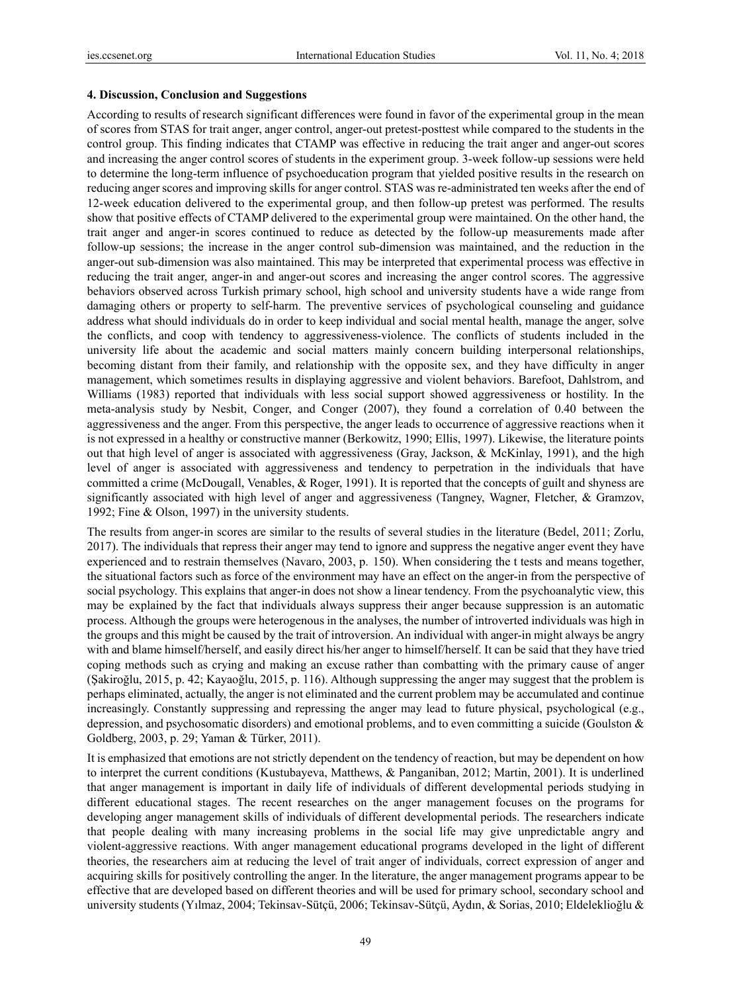#### **4. Discussion, Conclusion and Suggestions**

According to results of research significant differences were found in favor of the experimental group in the mean of scores from STAS for trait anger, anger control, anger-out pretest-posttest while compared to the students in the control group. This finding indicates that CTAMP was effective in reducing the trait anger and anger-out scores and increasing the anger control scores of students in the experiment group. 3-week follow-up sessions were held to determine the long-term influence of psychoeducation program that yielded positive results in the research on reducing anger scores and improving skills for anger control. STAS was re-administrated ten weeks after the end of 12-week education delivered to the experimental group, and then follow-up pretest was performed. The results show that positive effects of CTAMP delivered to the experimental group were maintained. On the other hand, the trait anger and anger-in scores continued to reduce as detected by the follow-up measurements made after follow-up sessions; the increase in the anger control sub-dimension was maintained, and the reduction in the anger-out sub-dimension was also maintained. This may be interpreted that experimental process was effective in reducing the trait anger, anger-in and anger-out scores and increasing the anger control scores. The aggressive behaviors observed across Turkish primary school, high school and university students have a wide range from damaging others or property to self-harm. The preventive services of psychological counseling and guidance address what should individuals do in order to keep individual and social mental health, manage the anger, solve the conflicts, and coop with tendency to aggressiveness-violence. The conflicts of students included in the university life about the academic and social matters mainly concern building interpersonal relationships, becoming distant from their family, and relationship with the opposite sex, and they have difficulty in anger management, which sometimes results in displaying aggressive and violent behaviors. Barefoot, Dahlstrom, and Williams (1983) reported that individuals with less social support showed aggressiveness or hostility. In the meta-analysis study by Nesbit, Conger, and Conger (2007), they found a correlation of 0.40 between the aggressiveness and the anger. From this perspective, the anger leads to occurrence of aggressive reactions when it is not expressed in a healthy or constructive manner (Berkowitz, 1990; Ellis, 1997). Likewise, the literature points out that high level of anger is associated with aggressiveness (Gray, Jackson, & McKinlay, 1991), and the high level of anger is associated with aggressiveness and tendency to perpetration in the individuals that have committed a crime (McDougall, Venables, & Roger, 1991). It is reported that the concepts of guilt and shyness are significantly associated with high level of anger and aggressiveness (Tangney, Wagner, Fletcher, & Gramzov, 1992; Fine & Olson, 1997) in the university students.

The results from anger-in scores are similar to the results of several studies in the literature (Bedel, 2011; Zorlu, 2017). The individuals that repress their anger may tend to ignore and suppress the negative anger event they have experienced and to restrain themselves (Navaro, 2003, p. 150). When considering the t tests and means together, the situational factors such as force of the environment may have an effect on the anger-in from the perspective of social psychology. This explains that anger-in does not show a linear tendency. From the psychoanalytic view, this may be explained by the fact that individuals always suppress their anger because suppression is an automatic process. Although the groups were heterogenous in the analyses, the number of introverted individuals was high in the groups and this might be caused by the trait of introversion. An individual with anger-in might always be angry with and blame himself/herself, and easily direct his/her anger to himself/herself. It can be said that they have tried coping methods such as crying and making an excuse rather than combatting with the primary cause of anger (Şakiroğlu, 2015, p. 42; Kayaoğlu, 2015, p. 116). Although suppressing the anger may suggest that the problem is perhaps eliminated, actually, the anger is not eliminated and the current problem may be accumulated and continue increasingly. Constantly suppressing and repressing the anger may lead to future physical, psychological (e.g., depression, and psychosomatic disorders) and emotional problems, and to even committing a suicide (Goulston & Goldberg, 2003, p. 29; Yaman & Türker, 2011).

It is emphasized that emotions are not strictly dependent on the tendency of reaction, but may be dependent on how to interpret the current conditions (Kustubayeva, Matthews, & Panganiban, 2012; Martin, 2001). It is underlined that anger management is important in daily life of individuals of different developmental periods studying in different educational stages. The recent researches on the anger management focuses on the programs for developing anger management skills of individuals of different developmental periods. The researchers indicate that people dealing with many increasing problems in the social life may give unpredictable angry and violent-aggressive reactions. With anger management educational programs developed in the light of different theories, the researchers aim at reducing the level of trait anger of individuals, correct expression of anger and acquiring skills for positively controlling the anger. In the literature, the anger management programs appear to be effective that are developed based on different theories and will be used for primary school, secondary school and university students (Yılmaz, 2004; Tekinsav-Sütçü, 2006; Tekinsav-Sütçü, Aydın, & Sorias, 2010; Eldeleklioğlu &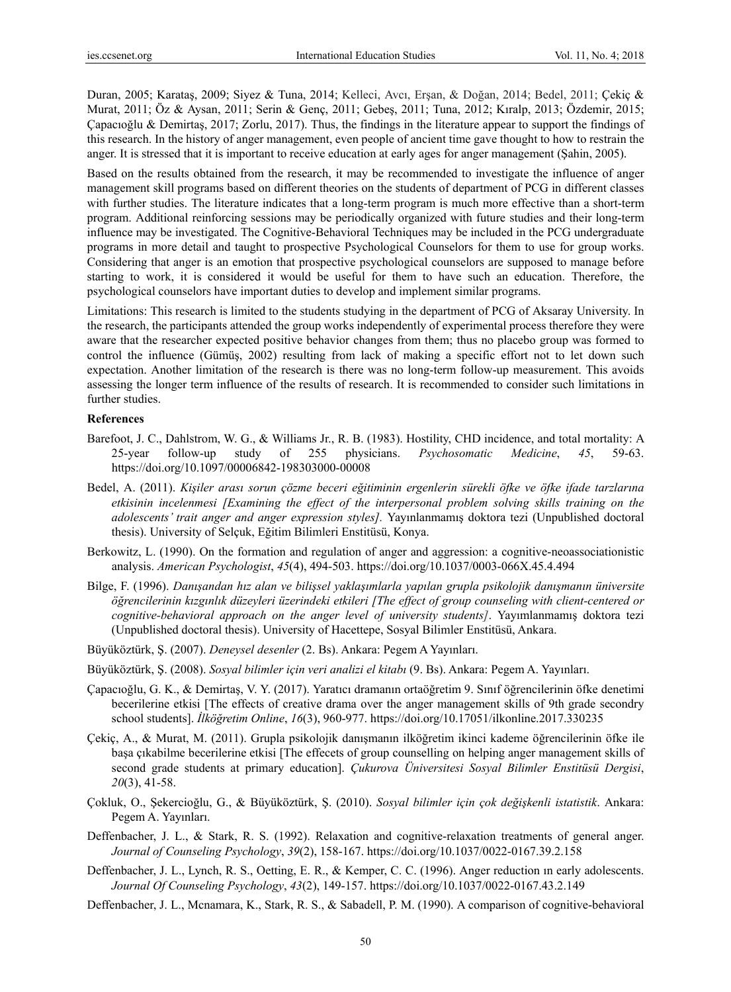Duran, 2005; Karataş, 2009; Siyez & Tuna, 2014; Kelleci, Avcı, Erşan, & Doğan, 2014; Bedel, 2011; Çekiç & Murat, 2011; Öz & Aysan, 2011; Serin & Genç, 2011; Gebeş, 2011; Tuna, 2012; Kıralp, 2013; Özdemir, 2015; Çapacıoğlu & Demirtaş, 2017; Zorlu, 2017). Thus, the findings in the literature appear to support the findings of this research. In the history of anger management, even people of ancient time gave thought to how to restrain the anger. It is stressed that it is important to receive education at early ages for anger management (Şahin, 2005).

Based on the results obtained from the research, it may be recommended to investigate the influence of anger management skill programs based on different theories on the students of department of PCG in different classes with further studies. The literature indicates that a long-term program is much more effective than a short-term program. Additional reinforcing sessions may be periodically organized with future studies and their long-term influence may be investigated. The Cognitive-Behavioral Techniques may be included in the PCG undergraduate programs in more detail and taught to prospective Psychological Counselors for them to use for group works. Considering that anger is an emotion that prospective psychological counselors are supposed to manage before starting to work, it is considered it would be useful for them to have such an education. Therefore, the psychological counselors have important duties to develop and implement similar programs.

Limitations: This research is limited to the students studying in the department of PCG of Aksaray University. In the research, the participants attended the group works independently of experimental process therefore they were aware that the researcher expected positive behavior changes from them; thus no placebo group was formed to control the influence (Gümüş, 2002) resulting from lack of making a specific effort not to let down such expectation. Another limitation of the research is there was no long-term follow-up measurement. This avoids assessing the longer term influence of the results of research. It is recommended to consider such limitations in further studies.

#### **References**

- Barefoot, J. C., Dahlstrom, W. G., & Williams Jr., R. B. (1983). Hostility, CHD incidence, and total mortality: A 25-year follow-up study of 255 physicians. *Psychosomatic Medicine*, *45*, 59-63. https://doi.org/10.1097/00006842-198303000-00008
- Bedel, A. (2011). *Kişiler arası sorun çözme beceri eğitiminin ergenlerin sürekli öfke ve öfke ifade tarzlarına etkisinin incelenmesi [Examining the effect of the interpersonal problem solving skills training on the adolescents' trait anger and anger expression styles].* Yayınlanmamış doktora tezi (Unpublished doctoral thesis). University of Selçuk, Eğitim Bilimleri Enstitüsü, Konya.
- Berkowitz, L. (1990). On the formation and regulation of anger and aggression: a cognitive-neoassociationistic analysis. *American Psychologist*, *45*(4), 494-503. https://doi.org/10.1037/0003-066X.45.4.494
- Bilge, F. (1996). Danışandan hız alan ve bilişsel yaklaşımlarla yapılan grupla psikolojik danışmanın üniversite *öğrencilerinin kızgınlık düzeyleri üzerindeki etkileri [The effect of group counseling with client-centered or cognitive-behavioral approach on the anger level of university students]*. Yayımlanmamış doktora tezi (Unpublished doctoral thesis). University of Hacettepe, Sosyal Bilimler Enstitüsü, Ankara.
- Büyüköztürk, Ş. (2007). *Deneysel desenler* (2. Bs). Ankara: Pegem A Yayınları.
- Büyüköztürk, Ş. (2008). *Sosyal bilimler için veri analizi el kitabı* (9. Bs). Ankara: Pegem A. Yayınları.
- Çapacıoğlu, G. K., & Demirtaş, V. Y. (2017). Yaratıcı dramanın ortaöğretim 9. Sınıf öğrencilerinin öfke denetimi becerilerine etkisi [The effects of creative drama over the anger management skills of 9th grade secondry school students]. *İlköğretim Online*, *16*(3), 960-977. https://doi.org/10.17051/ilkonline.2017.330235
- Çekiç, A., & Murat, M. (2011). Grupla psikolojik danışmanın ilköğretim ikinci kademe öğrencilerinin öfke ile başa çıkabilme becerilerine etkisi [The effecets of group counselling on helping anger management skills of second grade students at primary education]. *Çukurova Üniversitesi Sosyal Bilimler Enstitüsü Dergisi*, *20*(3), 41-58.
- Çokluk, O., Şekercioğlu, G., & Büyüköztürk, Ş. (2010). *Sosyal bilimler için çok değişkenli istatistik*. Ankara: Pegem A. Yayınları.
- Deffenbacher, J. L., & Stark, R. S. (1992). Relaxation and cognitive-relaxation treatments of general anger. *Journal of Counseling Psychology*, *39*(2), 158-167. https://doi.org/10.1037/0022-0167.39.2.158
- Deffenbacher, J. L., Lynch, R. S., Oetting, E. R., & Kemper, C. C. (1996). Anger reduction ın early adolescents. *Journal Of Counseling Psychology*, *43*(2), 149-157. https://doi.org/10.1037/0022-0167.43.2.149
- Deffenbacher, J. L., Mcnamara, K., Stark, R. S., & Sabadell, P. M. (1990). A comparison of cognitive-behavioral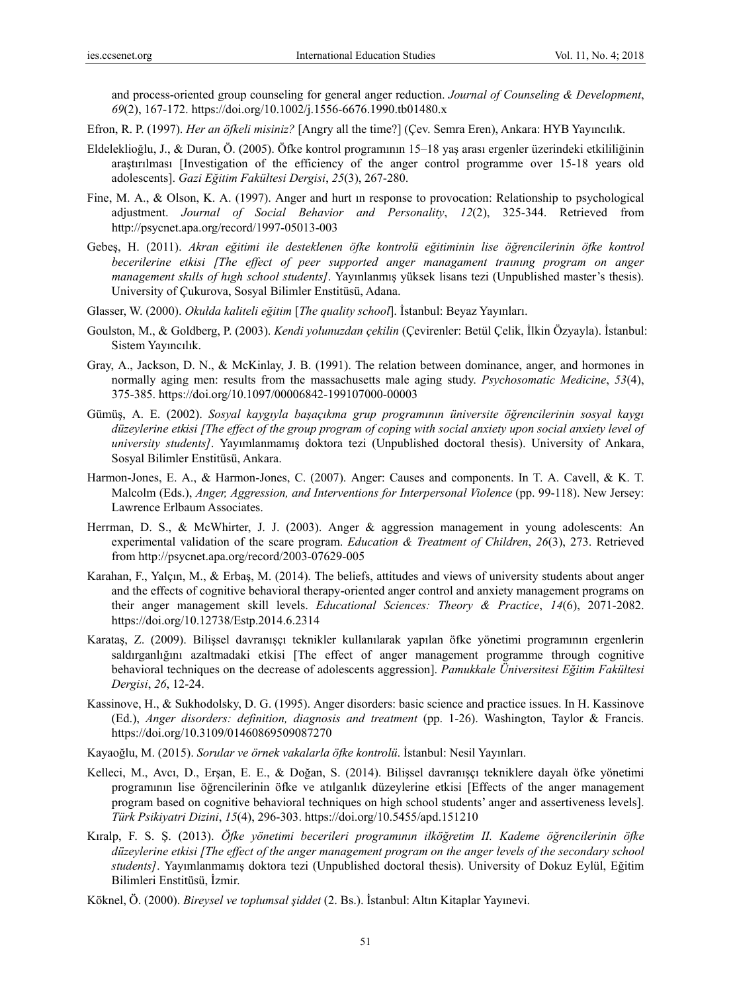and process-oriented group counseling for general anger reduction. *Journal of Counseling & Development*, *69*(2), 167-172. https://doi.org/10.1002/j.1556-6676.1990.tb01480.x

- Efron, R. P. (1997). *Her an öfkeli misiniz?* [Angry all the time?] (Çev. Semra Eren), Ankara: HYB Yayıncılık.
- Eldeleklioğlu, J., & Duran, Ö. (2005). Öfke kontrol programının 15–18 yaş arası ergenler üzerindeki etkililiğinin araştırılması [Investigation of the efficiency of the anger control programme over 15-18 years old adolescents]. *Gazi Eğitim Fakültesi Dergisi*, *25*(3), 267-280.
- Fine, M. A., & Olson, K. A. (1997). Anger and hurt ın response to provocation: Relationship to psychological adjustment. *Journal of Social Behavior and Personality*, *12*(2), 325-344. Retrieved from http://psycnet.apa.org/record/1997-05013-003
- Gebeş, H. (2011). *Akran eğitimi ile desteklenen öfke kontrolü eğitiminin lise öğrencilerinin öfke kontrol becerilerine etkisi [The effect of peer supported anger managament traınıng program on anger management skılls of hıgh school students]*. Yayınlanmış yüksek lisans tezi (Unpublished master's thesis). University of Çukurova, Sosyal Bilimler Enstitüsü, Adana.
- Glasser, W. (2000). *Okulda kaliteli eğitim* [*The quality school*]. İstanbul: Beyaz Yayınları.
- Goulston, M., & Goldberg, P. (2003). *Kendi yolunuzdan çekilin* (Çevirenler: Betül Çelik, İlkin Özyayla). İstanbul: Sistem Yayıncılık.
- Gray, A., Jackson, D. N., & McKinlay, J. B. (1991). The relation between dominance, anger, and hormones in normally aging men: results from the massachusetts male aging study. *Psychosomatic Medicine*, *53*(4), 375-385. https://doi.org/10.1097/00006842-199107000-00003
- Gümüş, A. E. (2002). *Sosyal kaygıyla başaçıkma grup programının üniversite öğrencilerinin sosyal kaygı düzeylerine etkisi [The effect of the group program of coping with social anxiety upon social anxiety level of university students]*. Yayımlanmamış doktora tezi (Unpublished doctoral thesis). University of Ankara, Sosyal Bilimler Enstitüsü, Ankara.
- Harmon-Jones, E. A., & Harmon-Jones, C. (2007). Anger: Causes and components. In T. A. Cavell, & K. T. Malcolm (Eds.), *Anger, Aggression, and Interventions for Interpersonal Violence* (pp. 99-118). New Jersey: Lawrence Erlbaum Associates.
- Herrman, D. S., & McWhirter, J. J. (2003). Anger & aggression management in young adolescents: An experimental validation of the scare program. *Education & Treatment of Children*, *26*(3), 273. Retrieved from http://psycnet.apa.org/record/2003-07629-005
- Karahan, F., Yalçın, M., & Erbaş, M. (2014). The beliefs, attitudes and views of university students about anger and the effects of cognitive behavioral therapy-oriented anger control and anxiety management programs on their anger management skill levels. *Educational Sciences: Theory & Practice*, *14*(6), 2071-2082. https://doi.org/10.12738/Estp.2014.6.2314
- Karataş, Z. (2009). Bilişsel davranışçı teknikler kullanılarak yapılan öfke yönetimi programının ergenlerin saldırganlığını azaltmadaki etkisi [The effect of anger management programme through cognitive behavioral techniques on the decrease of adolescents aggression]. *Pamukkale Üniversitesi Eğitim Fakültesi Dergisi*, *26*, 12-24.
- Kassinove, H., & Sukhodolsky, D. G. (1995). Anger disorders: basic science and practice issues. In H. Kassinove (Ed.), *Anger disorders: definition, diagnosis and treatment* (pp. 1-26). Washington, Taylor & Francis. https://doi.org/10.3109/01460869509087270
- Kayaoğlu, M. (2015). *Sorular ve örnek vakalarla öfke kontrolü*. İstanbul: Nesil Yayınları.
- Kelleci, M., Avcı, D., Erşan, E. E., & Doğan, S. (2014). Bilişsel davranışçı tekniklere dayalı öfke yönetimi programının lise öğrencilerinin öfke ve atılganlık düzeylerine etkisi [Effects of the anger management program based on cognitive behavioral techniques on high school students' anger and assertiveness levels]. *Türk Psikiyatri Dizini*, *15*(4), 296-303. https://doi.org/10.5455/apd.151210
- Kıralp, F. S. Ş. (2013). *Öfke yönetimi becerileri programının ilköğretim II. Kademe öğrencilerinin öfke düzeylerine etkisi [The effect of the anger management program on the anger levels of the secondary school students]*. Yayımlanmamış doktora tezi (Unpublished doctoral thesis). University of Dokuz Eylül, Eğitim Bilimleri Enstitüsü, İzmir.
- Köknel, Ö. (2000). *Bireysel ve toplumsal şiddet* (2. Bs.). İstanbul: Altın Kitaplar Yayınevi.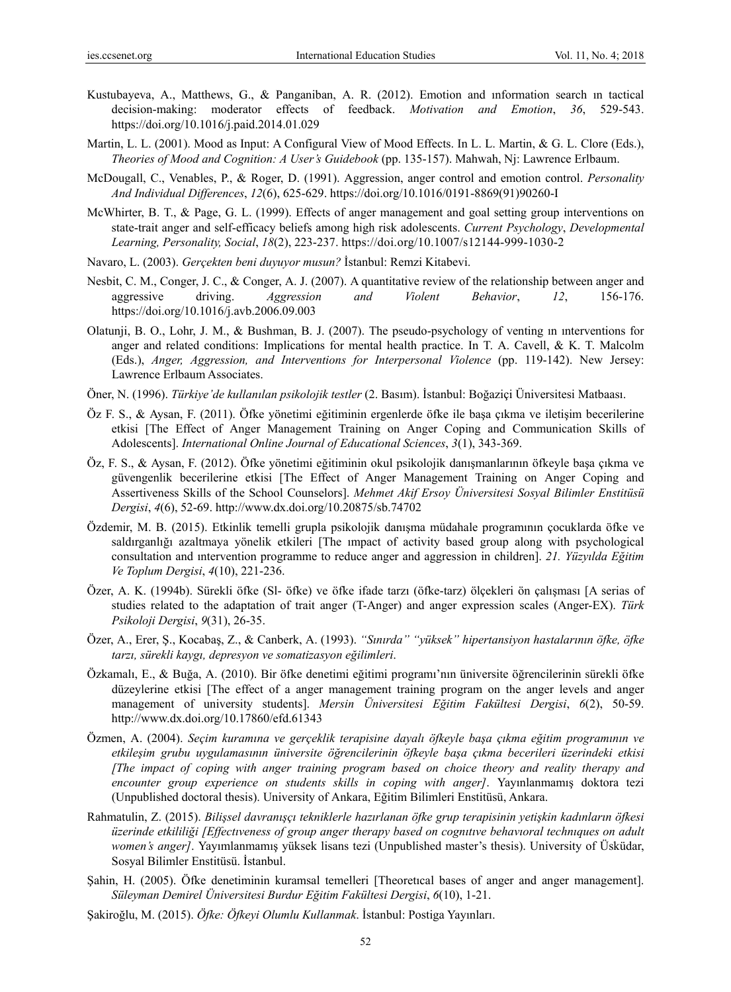- Kustubayeva, A., Matthews, G., & Panganiban, A. R. (2012). Emotion and ınformation search ın tactical decision-making: moderator effects of feedback. *Motivation and Emotion*, *36*, 529-543. https://doi.org/10.1016/j.paid.2014.01.029
- Martin, L. L. (2001). Mood as Input: A Configural View of Mood Effects. In L. L. Martin, & G. L. Clore (Eds.), *Theories of Mood and Cognition: A User's Guidebook* (pp. 135-157). Mahwah, Nj: Lawrence Erlbaum.
- McDougall, C., Venables, P., & Roger, D. (1991). Aggression, anger control and emotion control. *Personality And Individual Differences*, *12*(6), 625-629. https://doi.org/10.1016/0191-8869(91)90260-I
- McWhirter, B. T., & Page, G. L. (1999). Effects of anger management and goal setting group interventions on state-trait anger and self-efficacy beliefs among high risk adolescents. *Current Psychology*, *Developmental Learning, Personality, Social*, *18*(2), 223-237. https://doi.org/10.1007/s12144-999-1030-2
- Navaro, L. (2003). *Gerçekten beni duyuyor musun?* İstanbul: Remzi Kitabevi.
- Nesbit, C. M., Conger, J. C., & Conger, A. J. (2007). A quantitative review of the relationship between anger and aggressive driving. *Aggression and Violent Behavior*, *12*, 156-176. https://doi.org/10.1016/j.avb.2006.09.003
- Olatunji, B. O., Lohr, J. M., & Bushman, B. J. (2007). The pseudo-psychology of venting ın ınterventions for anger and related conditions: Implications for mental health practice. In T. A. Cavell, & K. T. Malcolm (Eds.), *Anger, Aggression, and Interventions for Interpersonal Violence* (pp. 119-142). New Jersey: Lawrence Erlbaum Associates.
- Öner, N. (1996). *Türkiye'de kullanılan psikolojik testler* (2. Basım). İstanbul: Boğaziçi Üniversitesi Matbaası.
- Öz F. S., & Aysan, F. (2011). Öfke yönetimi eğitiminin ergenlerde öfke ile başa çıkma ve iletişim becerilerine etkisi [The Effect of Anger Management Training on Anger Coping and Communication Skills of Adolescents]. *International Online Journal of Educational Sciences*, *3*(1), 343-369.
- Öz, F. S., & Aysan, F. (2012). Öfke yönetimi eğitiminin okul psikolojik danışmanlarının öfkeyle başa çıkma ve güvengenlik becerilerine etkisi [The Effect of Anger Management Training on Anger Coping and Assertiveness Skills of the School Counselors]. *Mehmet Akif Ersoy Üniversitesi Sosyal Bilimler Enstitüsü Dergisi*, *4*(6), 52-69. http://www.dx.doi.org/10.20875/sb.74702
- Özdemir, M. B. (2015). Etkinlik temelli grupla psikolojik danışma müdahale programının çocuklarda öfke ve saldırganlığı azaltmaya yönelik etkileri [The ımpact of activity based group along with psychological consultation and ıntervention programme to reduce anger and aggression in children]. *21. Yüzyılda Eğitim Ve Toplum Dergisi*, *4*(10), 221-236.
- Özer, A. K. (1994b). Sürekli öfke (Sl- öfke) ve öfke ifade tarzı (öfke-tarz) ölçekleri ön çalışması [A serias of studies related to the adaptation of trait anger (T-Anger) and anger expression scales (Anger-EX). *Türk Psikoloji Dergisi*, *9*(31), 26-35.
- Özer, A., Erer, Ş., Kocabaş, Z., & Canberk, A. (1993). *"Sınırda" "yüksek" hipertansiyon hastalarının öfke, öfke tarzı, sürekli kaygı, depresyon ve somatizasyon eğilimleri*.
- Özkamalı, E., & Buğa, A. (2010). Bir öfke denetimi eğitimi programı'nın üniversite öğrencilerinin sürekli öfke düzeylerine etkisi [The effect of a anger management training program on the anger levels and anger management of university students]. *Mersin Üniversitesi Eğitim Fakültesi Dergisi*, *6*(2), 50-59. http://www.dx.doi.org/10.17860/efd.61343
- Özmen, A. (2004). *Seçim kuramına ve gerçeklik terapisine dayalı öfkeyle başa çıkma eğitim programının ve etkileşim grubu uygulamasının üniversite öğrencilerinin öfkeyle başa çıkma becerileri üzerindeki etkisi [The impact of coping with anger training program based on choice theory and reality therapy and encounter group experience on students skills in coping with anger]*. Yayınlanmamış doktora tezi (Unpublished doctoral thesis). University of Ankara, Eğitim Bilimleri Enstitüsü, Ankara.
- Rahmatulin, Z. (2015). Bilissel davranışçı tekniklerle hazırlanan öfke grup terapisinin yetişkin kadınların öfkesi *üzerinde etkililiği [Effectıveness of group anger therapy based on cognıtıve behavıoral technıques on adult women's anger]*. Yayımlanmamış yüksek lisans tezi (Unpublished master's thesis). University of Üsküdar, Sosyal Bilimler Enstitüsü. İstanbul.
- Şahin, H. (2005). Öfke denetiminin kuramsal temelleri [Theoretıcal bases of anger and anger management]. *Süleyman Demirel Üniversitesi Burdur Eğitim Fakültesi Dergisi*, *6*(10), 1-21.
- Şakiroğlu, M. (2015). *Öfke: Öfkeyi Olumlu Kullanmak*. İstanbul: Postiga Yayınları.